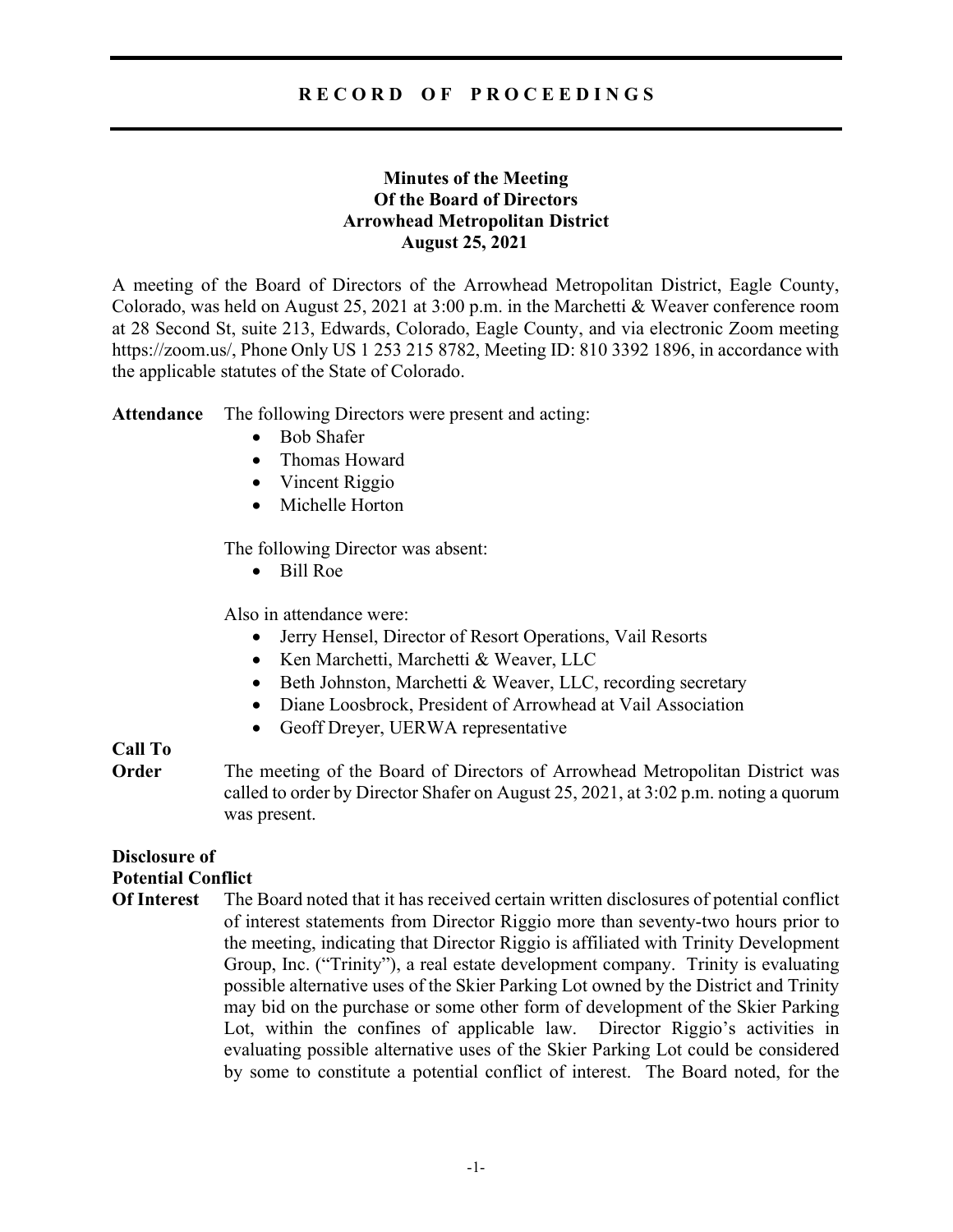## R E C O R D O F P R O C E E D I N G S

## Minutes of the Meeting Of the Board of Directors Arrowhead Metropolitan District August 25, 2021

A meeting of the Board of Directors of the Arrowhead Metropolitan District, Eagle County, Colorado, was held on August 25, 2021 at 3:00 p.m. in the Marchetti & Weaver conference room at 28 Second St, suite 213, Edwards, Colorado, Eagle County, and via electronic Zoom meeting https://zoom.us/, Phone Only US 1 253 215 8782, Meeting ID: 810 3392 1896, in accordance with the applicable statutes of the State of Colorado.

Attendance The following Directors were present and acting:

- Bob Shafer
- Thomas Howard
- Vincent Riggio
- Michelle Horton

The following Director was absent:

Bill Roe

Also in attendance were:

- Jerry Hensel, Director of Resort Operations, Vail Resorts
- Ken Marchetti, Marchetti & Weaver, LLC
- Beth Johnston, Marchetti & Weaver, LLC, recording secretary
- Diane Loosbrock, President of Arrowhead at Vail Association
- Geoff Dreyer, UERWA representative

# Call To

**Order** The meeting of the Board of Directors of Arrowhead Metropolitan District was called to order by Director Shafer on August 25, 2021, at 3:02 p.m. noting a quorum was present.

## Disclosure of Potential Conflict

Of Interest The Board noted that it has received certain written disclosures of potential conflict of interest statements from Director Riggio more than seventy-two hours prior to the meeting, indicating that Director Riggio is affiliated with Trinity Development Group, Inc. ("Trinity"), a real estate development company. Trinity is evaluating possible alternative uses of the Skier Parking Lot owned by the District and Trinity may bid on the purchase or some other form of development of the Skier Parking Lot, within the confines of applicable law. Director Riggio's activities in evaluating possible alternative uses of the Skier Parking Lot could be considered by some to constitute a potential conflict of interest. The Board noted, for the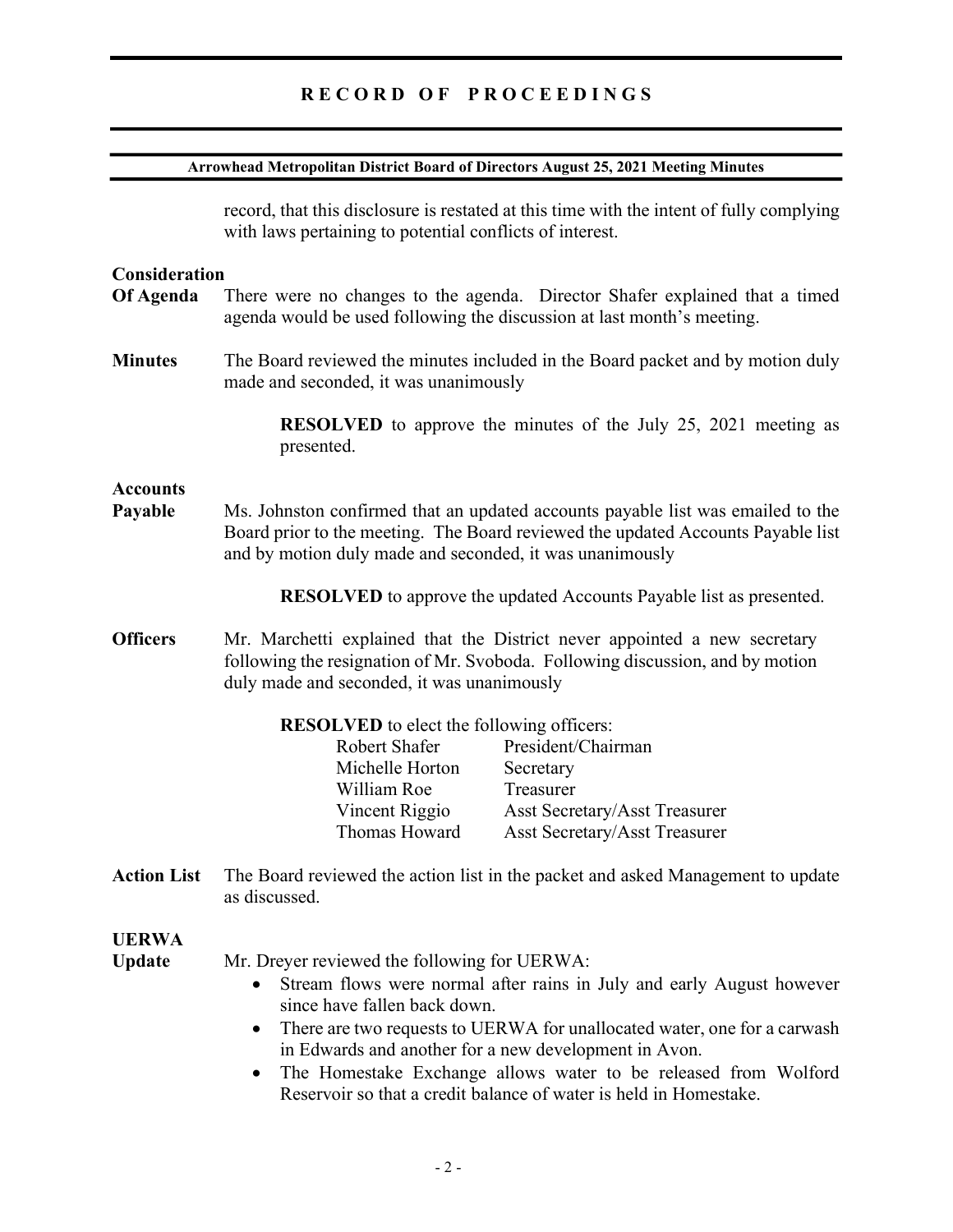# RECORD OF PROCEEDINGS

| Arrowhead Metropolitan District Board of Directors August 25, 2021 Meeting Minutes |                                                                                                                                                                                                                                                                                                                                                                                                                                                                   |
|------------------------------------------------------------------------------------|-------------------------------------------------------------------------------------------------------------------------------------------------------------------------------------------------------------------------------------------------------------------------------------------------------------------------------------------------------------------------------------------------------------------------------------------------------------------|
|                                                                                    | record, that this disclosure is restated at this time with the intent of fully complying<br>with laws pertaining to potential conflicts of interest.                                                                                                                                                                                                                                                                                                              |
| Consideration<br>Of Agenda                                                         | There were no changes to the agenda. Director Shafer explained that a timed<br>agenda would be used following the discussion at last month's meeting.                                                                                                                                                                                                                                                                                                             |
| <b>Minutes</b>                                                                     | The Board reviewed the minutes included in the Board packet and by motion duly<br>made and seconded, it was unanimously                                                                                                                                                                                                                                                                                                                                           |
|                                                                                    | <b>RESOLVED</b> to approve the minutes of the July 25, 2021 meeting as<br>presented.                                                                                                                                                                                                                                                                                                                                                                              |
| <b>Accounts</b><br>Payable                                                         | Ms. Johnston confirmed that an updated accounts payable list was emailed to the<br>Board prior to the meeting. The Board reviewed the updated Accounts Payable list<br>and by motion duly made and seconded, it was unanimously                                                                                                                                                                                                                                   |
|                                                                                    | <b>RESOLVED</b> to approve the updated Accounts Payable list as presented.                                                                                                                                                                                                                                                                                                                                                                                        |
| <b>Officers</b>                                                                    | Mr. Marchetti explained that the District never appointed a new secretary<br>following the resignation of Mr. Svoboda. Following discussion, and by motion<br>duly made and seconded, it was unanimously                                                                                                                                                                                                                                                          |
|                                                                                    | <b>RESOLVED</b> to elect the following officers:<br>President/Chairman<br>Robert Shafer<br>Michelle Horton<br>Secretary<br>William Roe<br>Treasurer<br>Vincent Riggio<br>Asst Secretary/Asst Treasurer<br>Thomas Howard<br><b>Asst Secretary/Asst Treasurer</b>                                                                                                                                                                                                   |
| <b>Action List</b>                                                                 | The Board reviewed the action list in the packet and asked Management to update<br>as discussed.                                                                                                                                                                                                                                                                                                                                                                  |
| <b>UERWA</b><br><b>Update</b>                                                      | Mr. Dreyer reviewed the following for UERWA:<br>Stream flows were normal after rains in July and early August however<br>$\bullet$<br>since have fallen back down.<br>There are two requests to UERWA for unallocated water, one for a carwash<br>٠<br>in Edwards and another for a new development in Avon.<br>The Homestake Exchange allows water to be released from Wolford<br>$\bullet$<br>Reservoir so that a credit balance of water is held in Homestake. |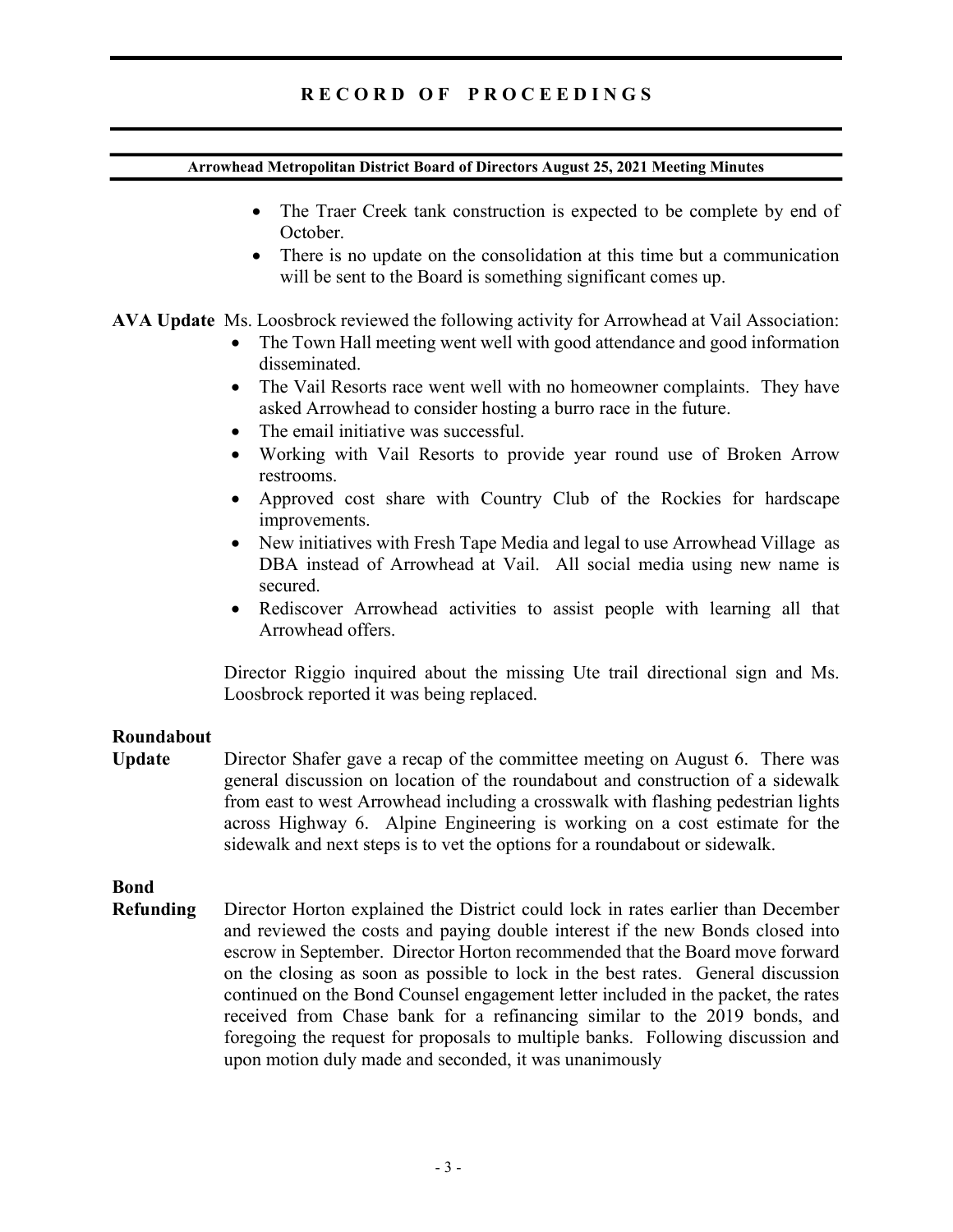## R E C O R D O F P R O C E E D I N G S

#### Arrowhead Metropolitan District Board of Directors August 25, 2021 Meeting Minutes

- The Traer Creek tank construction is expected to be complete by end of October.
- There is no update on the consolidation at this time but a communication will be sent to the Board is something significant comes up.

AVA Update Ms. Loosbrock reviewed the following activity for Arrowhead at Vail Association:

- The Town Hall meeting went well with good attendance and good information disseminated.
- The Vail Resorts race went well with no homeowner complaints. They have asked Arrowhead to consider hosting a burro race in the future.
- The email initiative was successful.
- Working with Vail Resorts to provide year round use of Broken Arrow restrooms.
- Approved cost share with Country Club of the Rockies for hardscape improvements.
- New initiatives with Fresh Tape Media and legal to use Arrowhead Village as DBA instead of Arrowhead at Vail. All social media using new name is secured.
- Rediscover Arrowhead activities to assist people with learning all that Arrowhead offers.

Director Riggio inquired about the missing Ute trail directional sign and Ms. Loosbrock reported it was being replaced.

### Roundabout

Update Director Shafer gave a recap of the committee meeting on August 6. There was general discussion on location of the roundabout and construction of a sidewalk from east to west Arrowhead including a crosswalk with flashing pedestrian lights across Highway 6. Alpine Engineering is working on a cost estimate for the sidewalk and next steps is to vet the options for a roundabout or sidewalk.

# Bond

Refunding Director Horton explained the District could lock in rates earlier than December and reviewed the costs and paying double interest if the new Bonds closed into escrow in September. Director Horton recommended that the Board move forward on the closing as soon as possible to lock in the best rates. General discussion continued on the Bond Counsel engagement letter included in the packet, the rates received from Chase bank for a refinancing similar to the 2019 bonds, and foregoing the request for proposals to multiple banks. Following discussion and upon motion duly made and seconded, it was unanimously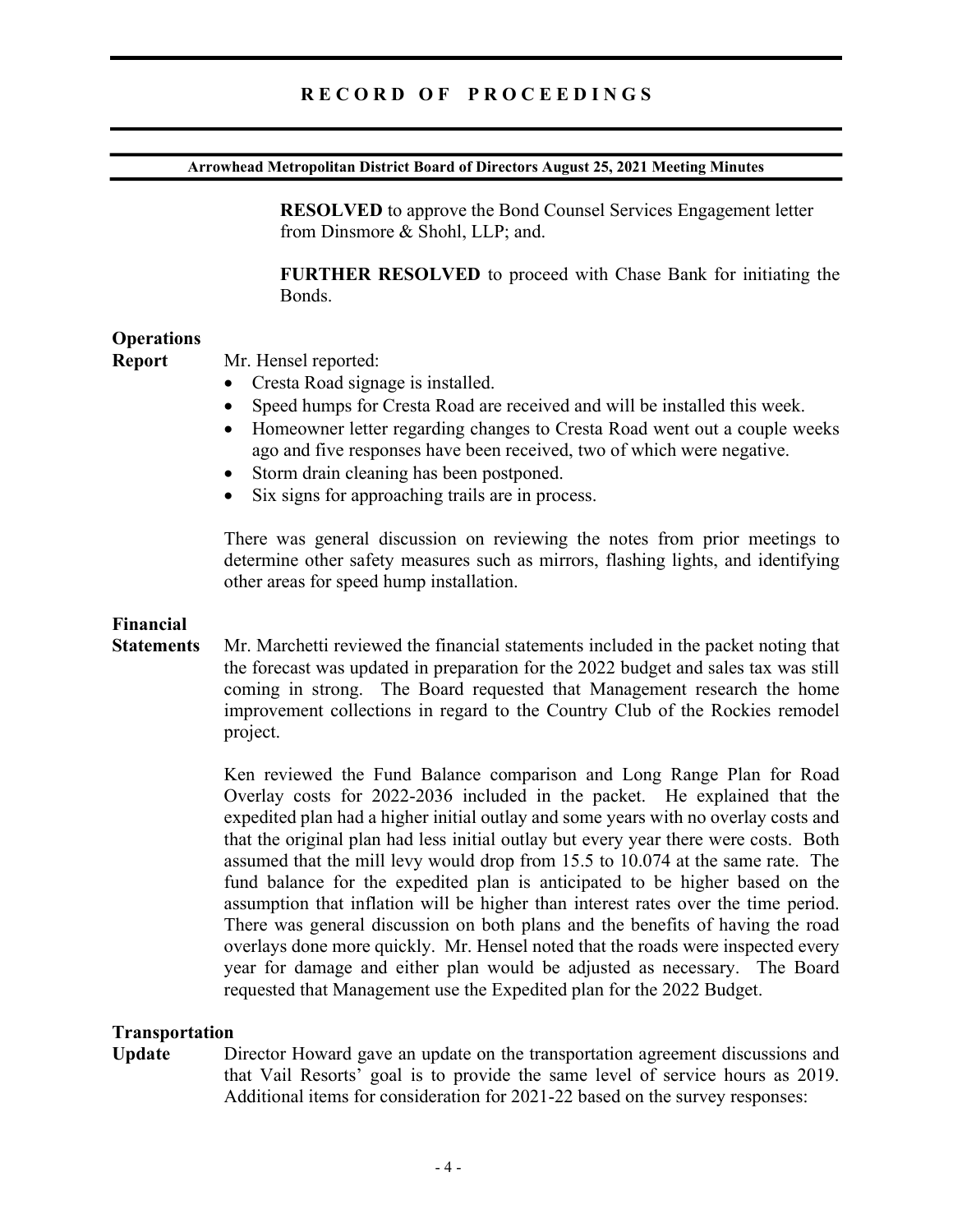# R E C O R D O F P R O C E E D I N G S

#### Arrowhead Metropolitan District Board of Directors August 25, 2021 Meeting Minutes

RESOLVED to approve the Bond Counsel Services Engagement letter from Dinsmore & Shohl, LLP; and.

FURTHER RESOLVED to proceed with Chase Bank for initiating the Bonds.

### **Operations**

Report Mr. Hensel reported:

- Cresta Road signage is installed.
- Speed humps for Cresta Road are received and will be installed this week.
- Homeowner letter regarding changes to Cresta Road went out a couple weeks ago and five responses have been received, two of which were negative.
- Storm drain cleaning has been postponed.
- Six signs for approaching trails are in process.

There was general discussion on reviewing the notes from prior meetings to determine other safety measures such as mirrors, flashing lights, and identifying other areas for speed hump installation.

### Financial

Statements Mr. Marchetti reviewed the financial statements included in the packet noting that the forecast was updated in preparation for the 2022 budget and sales tax was still coming in strong. The Board requested that Management research the home improvement collections in regard to the Country Club of the Rockies remodel project.

> Ken reviewed the Fund Balance comparison and Long Range Plan for Road Overlay costs for 2022-2036 included in the packet. He explained that the expedited plan had a higher initial outlay and some years with no overlay costs and that the original plan had less initial outlay but every year there were costs. Both assumed that the mill levy would drop from 15.5 to 10.074 at the same rate. The fund balance for the expedited plan is anticipated to be higher based on the assumption that inflation will be higher than interest rates over the time period. There was general discussion on both plans and the benefits of having the road overlays done more quickly. Mr. Hensel noted that the roads were inspected every year for damage and either plan would be adjusted as necessary. The Board requested that Management use the Expedited plan for the 2022 Budget.

#### Transportation

Update Director Howard gave an update on the transportation agreement discussions and that Vail Resorts' goal is to provide the same level of service hours as 2019. Additional items for consideration for 2021-22 based on the survey responses: